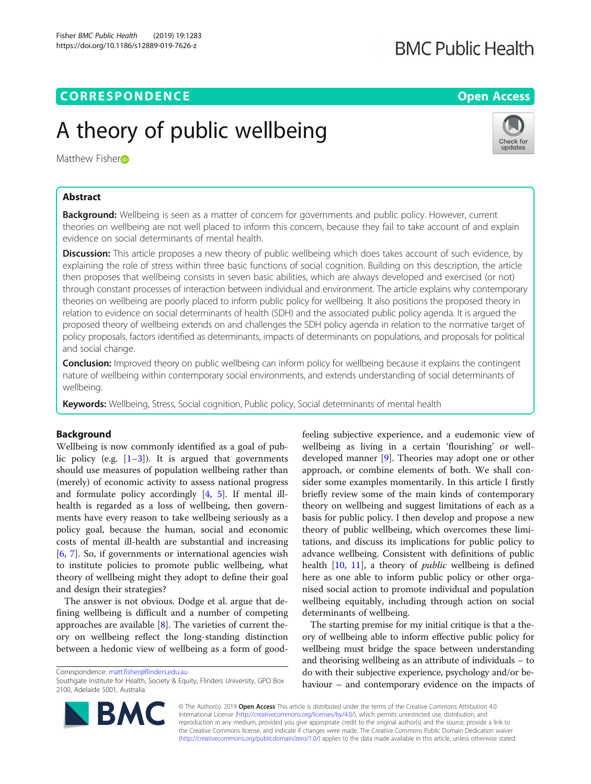# CORRESPONDENCE And the state of the state of the state of the state of the state of the state of the state of the state of the state of the state of the state of the state of the state of the state of the state of the stat

# A theory of public wellbeing

Matthew Fishe[r](http://orcid.org/0000-0003-3756-1146)<sub>D</sub>

# Abstract

Background: Wellbeing is seen as a matter of concern for governments and public policy. However, current theories on wellbeing are not well placed to inform this concern, because they fail to take account of and explain evidence on social determinants of mental health.

Discussion: This article proposes a new theory of public wellbeing which does takes account of such evidence, by explaining the role of stress within three basic functions of social cognition. Building on this description, the article then proposes that wellbeing consists in seven basic abilities, which are always developed and exercised (or not) through constant processes of interaction between individual and environment. The article explains why contemporary theories on wellbeing are poorly placed to inform public policy for wellbeing. It also positions the proposed theory in relation to evidence on social determinants of health (SDH) and the associated public policy agenda. It is argued the proposed theory of wellbeing extends on and challenges the SDH policy agenda in relation to the normative target of policy proposals, factors identified as determinants, impacts of determinants on populations, and proposals for political and social change.

**Conclusion:** Improved theory on public wellbeing can inform policy for wellbeing because it explains the contingent nature of wellbeing within contemporary social environments, and extends understanding of social determinants of wellbeing.

Keywords: Wellbeing, Stress, Social cognition, Public policy, Social determinants of mental health

# Background

Wellbeing is now commonly identified as a goal of public policy (e.g.  $[1-3]$  $[1-3]$  $[1-3]$  $[1-3]$  $[1-3]$ ). It is argued that governments should use measures of population wellbeing rather than (merely) of economic activity to assess national progress and formulate policy accordingly [[4,](#page-9-0) [5\]](#page-9-0). If mental illhealth is regarded as a loss of wellbeing, then governments have every reason to take wellbeing seriously as a policy goal, because the human, social and economic costs of mental ill-health are substantial and increasing [[6,](#page-9-0) [7\]](#page-9-0). So, if governments or international agencies wish to institute policies to promote public wellbeing, what theory of wellbeing might they adopt to define their goal and design their strategies?

The answer is not obvious. Dodge et al. argue that defining wellbeing is difficult and a number of competing approaches are available  $[8]$  $[8]$ . The varieties of current theory on wellbeing reflect the long-standing distinction between a hedonic view of wellbeing as a form of good-

Correspondence: [matt.fisher@flinders.edu.au](mailto:matt.fisher@flinders.edu.au)

© The Author(s). 2019 **Open Access** This article is distributed under the terms of the Creative Commons Attribution 4.0 International License [\(http://creativecommons.org/licenses/by/4.0/](http://creativecommons.org/licenses/by/4.0/)), which permits unrestricted use, distribution, and reproduction in any medium, provided you give appropriate credit to the original author(s) and the source, provide a link to the Creative Commons license, and indicate if changes were made. The Creative Commons Public Domain Dedication waiver [\(http://creativecommons.org/publicdomain/zero/1.0/](http://creativecommons.org/publicdomain/zero/1.0/)) applies to the data made available in this article, unless otherwise stated.

feeling subjective experience, and a eudemonic view of wellbeing as living in a certain 'flourishing' or welldeveloped manner [\[9\]](#page-9-0). Theories may adopt one or other approach, or combine elements of both. We shall consider some examples momentarily. In this article I firstly briefly review some of the main kinds of contemporary theory on wellbeing and suggest limitations of each as a basis for public policy. I then develop and propose a new theory of public wellbeing, which overcomes these limitations, and discuss its implications for public policy to advance wellbeing. Consistent with definitions of public health [\[10](#page-9-0), [11\]](#page-9-0), a theory of *public* wellbeing is defined here as one able to inform public policy or other organised social action to promote individual and population wellbeing equitably, including through action on social determinants of wellbeing.

The starting premise for my initial critique is that a theory of wellbeing able to inform effective public policy for wellbeing must bridge the space between understanding and theorising wellbeing as an attribute of individuals – to do with their subjective experience, psychology and/or behaviour – and contemporary evidence on the impacts of





Southgate Institute for Health, Society & Equity, Flinders University, GPO Box 2100, Adelaide 5001, Australia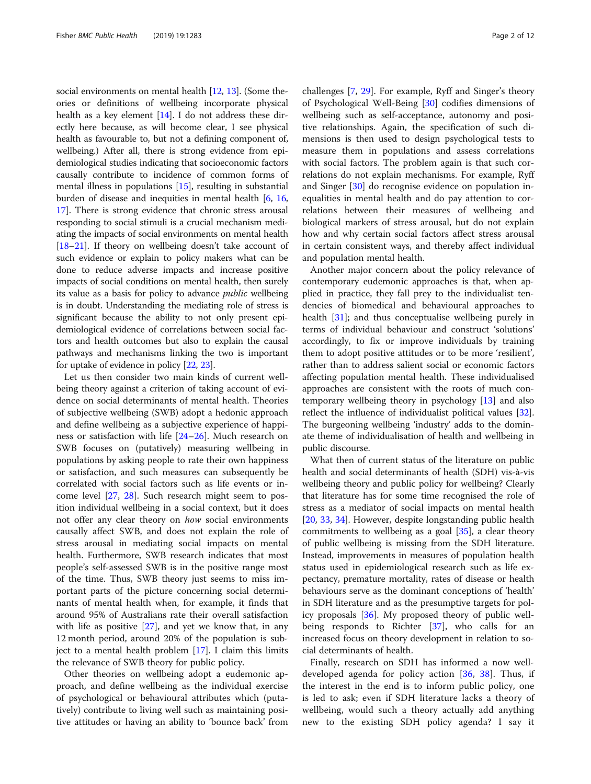social environments on mental health [[12](#page-9-0), [13](#page-9-0)]. (Some theories or definitions of wellbeing incorporate physical health as a key element [\[14\]](#page-9-0). I do not address these directly here because, as will become clear, I see physical health as favourable to, but not a defining component of, wellbeing.) After all, there is strong evidence from epidemiological studies indicating that socioeconomic factors causally contribute to incidence of common forms of mental illness in populations [\[15\]](#page-9-0), resulting in substantial burden of disease and inequities in mental health [\[6,](#page-9-0) [16](#page-9-0), [17](#page-9-0)]. There is strong evidence that chronic stress arousal responding to social stimuli is a crucial mechanism mediating the impacts of social environments on mental health [[18](#page-10-0)–[21\]](#page-10-0). If theory on wellbeing doesn't take account of such evidence or explain to policy makers what can be done to reduce adverse impacts and increase positive impacts of social conditions on mental health, then surely its value as a basis for policy to advance public wellbeing is in doubt. Understanding the mediating role of stress is significant because the ability to not only present epidemiological evidence of correlations between social factors and health outcomes but also to explain the causal pathways and mechanisms linking the two is important for uptake of evidence in policy [[22](#page-10-0), [23\]](#page-10-0).

Let us then consider two main kinds of current wellbeing theory against a criterion of taking account of evidence on social determinants of mental health. Theories of subjective wellbeing (SWB) adopt a hedonic approach and define wellbeing as a subjective experience of happiness or satisfaction with life [\[24](#page-10-0)–[26\]](#page-10-0). Much research on SWB focuses on (putatively) measuring wellbeing in populations by asking people to rate their own happiness or satisfaction, and such measures can subsequently be correlated with social factors such as life events or income level [[27,](#page-10-0) [28\]](#page-10-0). Such research might seem to position individual wellbeing in a social context, but it does not offer any clear theory on how social environments causally affect SWB, and does not explain the role of stress arousal in mediating social impacts on mental health. Furthermore, SWB research indicates that most people's self-assessed SWB is in the positive range most of the time. Thus, SWB theory just seems to miss important parts of the picture concerning social determinants of mental health when, for example, it finds that around 95% of Australians rate their overall satisfaction with life as positive [[27\]](#page-10-0), and yet we know that, in any 12 month period, around 20% of the population is subject to a mental health problem [\[17](#page-9-0)]. I claim this limits the relevance of SWB theory for public policy.

Other theories on wellbeing adopt a eudemonic approach, and define wellbeing as the individual exercise of psychological or behavioural attributes which (putatively) contribute to living well such as maintaining positive attitudes or having an ability to 'bounce back' from challenges [\[7](#page-9-0), [29\]](#page-10-0). For example, Ryff and Singer's theory of Psychological Well-Being [\[30](#page-10-0)] codifies dimensions of wellbeing such as self-acceptance, autonomy and positive relationships. Again, the specification of such dimensions is then used to design psychological tests to measure them in populations and assess correlations with social factors. The problem again is that such correlations do not explain mechanisms. For example, Ryff and Singer [\[30](#page-10-0)] do recognise evidence on population inequalities in mental health and do pay attention to correlations between their measures of wellbeing and biological markers of stress arousal, but do not explain how and why certain social factors affect stress arousal in certain consistent ways, and thereby affect individual and population mental health.

Another major concern about the policy relevance of contemporary eudemonic approaches is that, when applied in practice, they fall prey to the individualist tendencies of biomedical and behavioural approaches to health [\[31](#page-10-0)]; and thus conceptualise wellbeing purely in terms of individual behaviour and construct 'solutions' accordingly, to fix or improve individuals by training them to adopt positive attitudes or to be more 'resilient', rather than to address salient social or economic factors affecting population mental health. These individualised approaches are consistent with the roots of much contemporary wellbeing theory in psychology [[13\]](#page-9-0) and also reflect the influence of individualist political values [\[32](#page-10-0)]. The burgeoning wellbeing 'industry' adds to the dominate theme of individualisation of health and wellbeing in public discourse.

What then of current status of the literature on public health and social determinants of health (SDH) vis-à-vis wellbeing theory and public policy for wellbeing? Clearly that literature has for some time recognised the role of stress as a mediator of social impacts on mental health [[20,](#page-10-0) [33,](#page-10-0) [34\]](#page-10-0). However, despite longstanding public health commitments to wellbeing as a goal [[35](#page-10-0)], a clear theory of public wellbeing is missing from the SDH literature. Instead, improvements in measures of population health status used in epidemiological research such as life expectancy, premature mortality, rates of disease or health behaviours serve as the dominant conceptions of 'health' in SDH literature and as the presumptive targets for policy proposals [[36\]](#page-10-0). My proposed theory of public wellbeing responds to Richter [[37\]](#page-10-0), who calls for an increased focus on theory development in relation to social determinants of health.

Finally, research on SDH has informed a now welldeveloped agenda for policy action [[36,](#page-10-0) [38\]](#page-10-0). Thus, if the interest in the end is to inform public policy, one is led to ask; even if SDH literature lacks a theory of wellbeing, would such a theory actually add anything new to the existing SDH policy agenda? I say it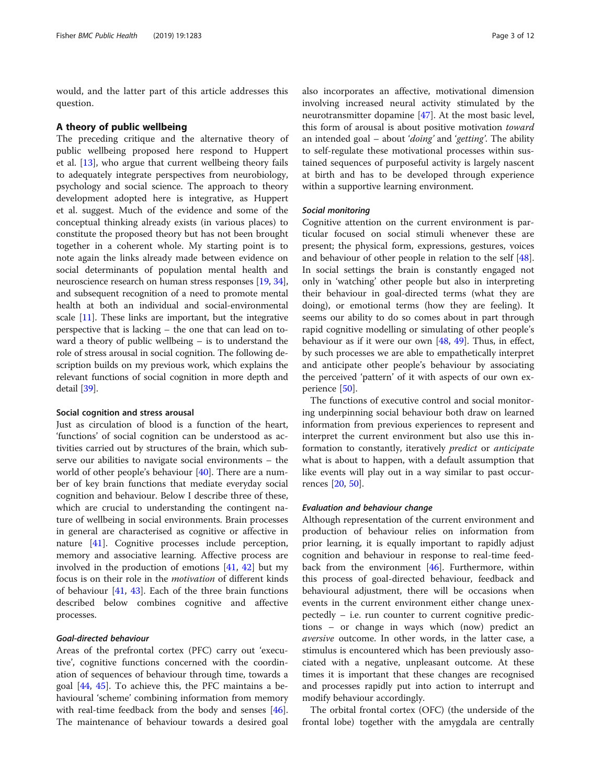would, and the latter part of this article addresses this question.

#### A theory of public wellbeing

The preceding critique and the alternative theory of public wellbeing proposed here respond to Huppert et al. [[13](#page-9-0)], who argue that current wellbeing theory fails to adequately integrate perspectives from neurobiology, psychology and social science. The approach to theory development adopted here is integrative, as Huppert et al. suggest. Much of the evidence and some of the conceptual thinking already exists (in various places) to constitute the proposed theory but has not been brought together in a coherent whole. My starting point is to note again the links already made between evidence on social determinants of population mental health and neuroscience research on human stress responses [\[19,](#page-10-0) [34](#page-10-0)], and subsequent recognition of a need to promote mental health at both an individual and social-environmental scale  $[11]$  $[11]$  $[11]$ . These links are important, but the integrative perspective that is lacking – the one that can lead on toward a theory of public wellbeing – is to understand the role of stress arousal in social cognition. The following description builds on my previous work, which explains the relevant functions of social cognition in more depth and detail [\[39\]](#page-10-0).

#### Social cognition and stress arousal

Just as circulation of blood is a function of the heart, 'functions' of social cognition can be understood as activities carried out by structures of the brain, which subserve our abilities to navigate social environments – the world of other people's behaviour [\[40](#page-10-0)]. There are a number of key brain functions that mediate everyday social cognition and behaviour. Below I describe three of these, which are crucial to understanding the contingent nature of wellbeing in social environments. Brain processes in general are characterised as cognitive or affective in nature [\[41](#page-10-0)]. Cognitive processes include perception, memory and associative learning. Affective process are involved in the production of emotions [\[41](#page-10-0), [42\]](#page-10-0) but my focus is on their role in the motivation of different kinds of behaviour [[41,](#page-10-0) [43\]](#page-10-0). Each of the three brain functions described below combines cognitive and affective processes.

# Goal-directed behaviour

Areas of the prefrontal cortex (PFC) carry out 'executive', cognitive functions concerned with the coordination of sequences of behaviour through time, towards a goal [[44,](#page-10-0) [45\]](#page-10-0). To achieve this, the PFC maintains a behavioural 'scheme' combining information from memory with real-time feedback from the body and senses [\[46](#page-10-0)]. The maintenance of behaviour towards a desired goal also incorporates an affective, motivational dimension involving increased neural activity stimulated by the neurotransmitter dopamine [\[47\]](#page-10-0). At the most basic level, this form of arousal is about positive motivation toward an intended goal – about 'doing' and 'getting'. The ability to self-regulate these motivational processes within sustained sequences of purposeful activity is largely nascent at birth and has to be developed through experience within a supportive learning environment.

### Social monitoring

Cognitive attention on the current environment is particular focused on social stimuli whenever these are present; the physical form, expressions, gestures, voices and behaviour of other people in relation to the self [\[48](#page-10-0)]. In social settings the brain is constantly engaged not only in 'watching' other people but also in interpreting their behaviour in goal-directed terms (what they are doing), or emotional terms (how they are feeling). It seems our ability to do so comes about in part through rapid cognitive modelling or simulating of other people's behaviour as if it were our own  $[48, 49]$  $[48, 49]$  $[48, 49]$ . Thus, in effect, by such processes we are able to empathetically interpret and anticipate other people's behaviour by associating the perceived 'pattern' of it with aspects of our own experience [\[50](#page-10-0)].

The functions of executive control and social monitoring underpinning social behaviour both draw on learned information from previous experiences to represent and interpret the current environment but also use this information to constantly, iteratively predict or anticipate what is about to happen, with a default assumption that like events will play out in a way similar to past occurrences [[20,](#page-10-0) [50\]](#page-10-0).

# Evaluation and behaviour change

Although representation of the current environment and production of behaviour relies on information from prior learning, it is equally important to rapidly adjust cognition and behaviour in response to real-time feedback from the environment [[46\]](#page-10-0). Furthermore, within this process of goal-directed behaviour, feedback and behavioural adjustment, there will be occasions when events in the current environment either change unexpectedly – i.e. run counter to current cognitive predictions – or change in ways which (now) predict an aversive outcome. In other words, in the latter case, a stimulus is encountered which has been previously associated with a negative, unpleasant outcome. At these times it is important that these changes are recognised and processes rapidly put into action to interrupt and modify behaviour accordingly.

The orbital frontal cortex (OFC) (the underside of the frontal lobe) together with the amygdala are centrally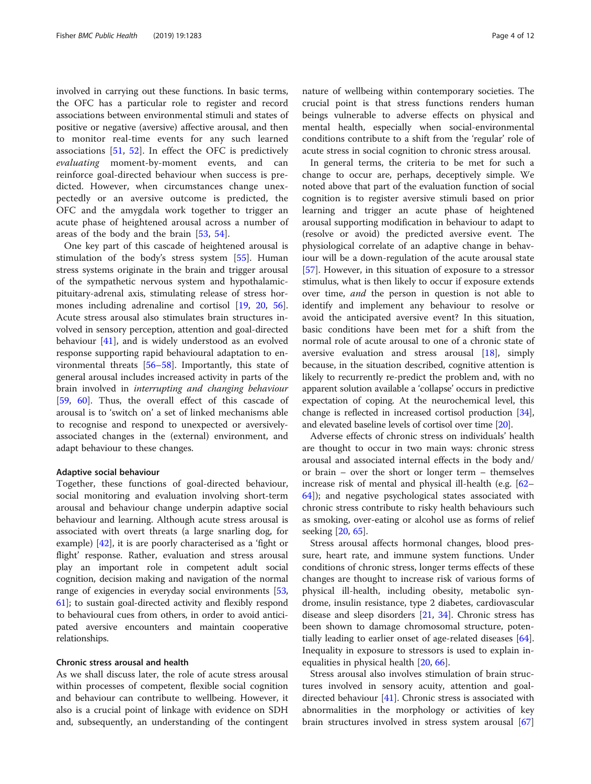involved in carrying out these functions. In basic terms, the OFC has a particular role to register and record associations between environmental stimuli and states of positive or negative (aversive) affective arousal, and then to monitor real-time events for any such learned associations [[51,](#page-10-0) [52](#page-10-0)]. In effect the OFC is predictively evaluating moment-by-moment events, and can reinforce goal-directed behaviour when success is predicted. However, when circumstances change unexpectedly or an aversive outcome is predicted, the OFC and the amygdala work together to trigger an acute phase of heightened arousal across a number of areas of the body and the brain [[53](#page-10-0), [54](#page-10-0)].

One key part of this cascade of heightened arousal is stimulation of the body's stress system [[55](#page-10-0)]. Human stress systems originate in the brain and trigger arousal of the sympathetic nervous system and hypothalamicpituitary-adrenal axis, stimulating release of stress hormones including adrenaline and cortisol [\[19](#page-10-0), [20,](#page-10-0) [56](#page-10-0)]. Acute stress arousal also stimulates brain structures involved in sensory perception, attention and goal-directed behaviour [\[41](#page-10-0)], and is widely understood as an evolved response supporting rapid behavioural adaptation to environmental threats [\[56](#page-10-0)–[58\]](#page-10-0). Importantly, this state of general arousal includes increased activity in parts of the brain involved in interrupting and changing behaviour [[59,](#page-10-0) [60\]](#page-10-0). Thus, the overall effect of this cascade of arousal is to 'switch on' a set of linked mechanisms able to recognise and respond to unexpected or aversivelyassociated changes in the (external) environment, and adapt behaviour to these changes.

#### Adaptive social behaviour

Together, these functions of goal-directed behaviour, social monitoring and evaluation involving short-term arousal and behaviour change underpin adaptive social behaviour and learning. Although acute stress arousal is associated with overt threats (a large snarling dog, for example) [\[42\]](#page-10-0), it is are poorly characterised as a 'fight or flight' response. Rather, evaluation and stress arousal play an important role in competent adult social cognition, decision making and navigation of the normal range of exigencies in everyday social environments [[53](#page-10-0), [61](#page-10-0)]; to sustain goal-directed activity and flexibly respond to behavioural cues from others, in order to avoid anticipated aversive encounters and maintain cooperative relationships.

# Chronic stress arousal and health

As we shall discuss later, the role of acute stress arousal within processes of competent, flexible social cognition and behaviour can contribute to wellbeing. However, it also is a crucial point of linkage with evidence on SDH and, subsequently, an understanding of the contingent nature of wellbeing within contemporary societies. The crucial point is that stress functions renders human beings vulnerable to adverse effects on physical and mental health, especially when social-environmental conditions contribute to a shift from the 'regular' role of acute stress in social cognition to chronic stress arousal.

In general terms, the criteria to be met for such a change to occur are, perhaps, deceptively simple. We noted above that part of the evaluation function of social cognition is to register aversive stimuli based on prior learning and trigger an acute phase of heightened arousal supporting modification in behaviour to adapt to (resolve or avoid) the predicted aversive event. The physiological correlate of an adaptive change in behaviour will be a down-regulation of the acute arousal state [[57\]](#page-10-0). However, in this situation of exposure to a stressor stimulus, what is then likely to occur if exposure extends over time, and the person in question is not able to identify and implement any behaviour to resolve or avoid the anticipated aversive event? In this situation, basic conditions have been met for a shift from the normal role of acute arousal to one of a chronic state of aversive evaluation and stress arousal [[18\]](#page-10-0), simply because, in the situation described, cognitive attention is likely to recurrently re-predict the problem and, with no apparent solution available a 'collapse' occurs in predictive expectation of coping. At the neurochemical level, this change is reflected in increased cortisol production [[34](#page-10-0)], and elevated baseline levels of cortisol over time [\[20\]](#page-10-0).

Adverse effects of chronic stress on individuals' health are thought to occur in two main ways: chronic stress arousal and associated internal effects in the body and/ or brain – over the short or longer term – themselves increase risk of mental and physical ill-health (e.g. [[62](#page-10-0)– [64\]](#page-10-0)); and negative psychological states associated with chronic stress contribute to risky health behaviours such as smoking, over-eating or alcohol use as forms of relief seeking [[20,](#page-10-0) [65\]](#page-10-0).

Stress arousal affects hormonal changes, blood pressure, heart rate, and immune system functions. Under conditions of chronic stress, longer terms effects of these changes are thought to increase risk of various forms of physical ill-health, including obesity, metabolic syndrome, insulin resistance, type 2 diabetes, cardiovascular disease and sleep disorders [[21,](#page-10-0) [34\]](#page-10-0). Chronic stress has been shown to damage chromosomal structure, potentially leading to earlier onset of age-related diseases [\[64](#page-10-0)]. Inequality in exposure to stressors is used to explain inequalities in physical health [[20,](#page-10-0) [66](#page-10-0)].

Stress arousal also involves stimulation of brain structures involved in sensory acuity, attention and goaldirected behaviour  $[41]$  $[41]$ . Chronic stress is associated with abnormalities in the morphology or activities of key brain structures involved in stress system arousal [[67](#page-10-0)]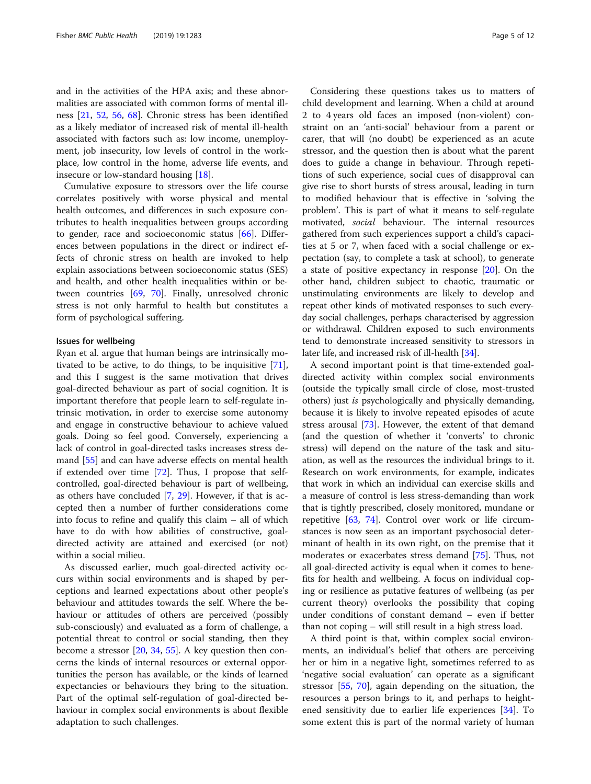and in the activities of the HPA axis; and these abnormalities are associated with common forms of mental illness [\[21,](#page-10-0) [52,](#page-10-0) [56,](#page-10-0) [68\]](#page-10-0). Chronic stress has been identified as a likely mediator of increased risk of mental ill-health associated with factors such as: low income, unemployment, job insecurity, low levels of control in the workplace, low control in the home, adverse life events, and insecure or low-standard housing [[18\]](#page-10-0).

Cumulative exposure to stressors over the life course correlates positively with worse physical and mental health outcomes, and differences in such exposure contributes to health inequalities between groups according to gender, race and socioeconomic status [\[66](#page-10-0)]. Differences between populations in the direct or indirect effects of chronic stress on health are invoked to help explain associations between socioeconomic status (SES) and health, and other health inequalities within or between countries [\[69](#page-10-0), [70](#page-10-0)]. Finally, unresolved chronic stress is not only harmful to health but constitutes a form of psychological suffering.

#### Issues for wellbeing

Ryan et al. argue that human beings are intrinsically motivated to be active, to do things, to be inquisitive [\[71](#page-10-0)], and this I suggest is the same motivation that drives goal-directed behaviour as part of social cognition. It is important therefore that people learn to self-regulate intrinsic motivation, in order to exercise some autonomy and engage in constructive behaviour to achieve valued goals. Doing so feel good. Conversely, experiencing a lack of control in goal-directed tasks increases stress demand [\[55\]](#page-10-0) and can have adverse effects on mental health if extended over time [\[72](#page-10-0)]. Thus, I propose that selfcontrolled, goal-directed behaviour is part of wellbeing, as others have concluded [\[7](#page-9-0), [29\]](#page-10-0). However, if that is accepted then a number of further considerations come into focus to refine and qualify this claim – all of which have to do with how abilities of constructive, goaldirected activity are attained and exercised (or not) within a social milieu.

As discussed earlier, much goal-directed activity occurs within social environments and is shaped by perceptions and learned expectations about other people's behaviour and attitudes towards the self. Where the behaviour or attitudes of others are perceived (possibly sub-consciously) and evaluated as a form of challenge, a potential threat to control or social standing, then they become a stressor [[20,](#page-10-0) [34,](#page-10-0) [55\]](#page-10-0). A key question then concerns the kinds of internal resources or external opportunities the person has available, or the kinds of learned expectancies or behaviours they bring to the situation. Part of the optimal self-regulation of goal-directed behaviour in complex social environments is about flexible adaptation to such challenges.

Considering these questions takes us to matters of child development and learning. When a child at around 2 to 4 years old faces an imposed (non-violent) constraint on an 'anti-social' behaviour from a parent or carer, that will (no doubt) be experienced as an acute stressor, and the question then is about what the parent does to guide a change in behaviour. Through repetitions of such experience, social cues of disapproval can give rise to short bursts of stress arousal, leading in turn to modified behaviour that is effective in 'solving the problem'. This is part of what it means to self-regulate motivated, social behaviour. The internal resources gathered from such experiences support a child's capacities at 5 or 7, when faced with a social challenge or expectation (say, to complete a task at school), to generate a state of positive expectancy in response [[20\]](#page-10-0). On the other hand, children subject to chaotic, traumatic or unstimulating environments are likely to develop and repeat other kinds of motivated responses to such everyday social challenges, perhaps characterised by aggression or withdrawal. Children exposed to such environments tend to demonstrate increased sensitivity to stressors in later life, and increased risk of ill-health [\[34\]](#page-10-0).

A second important point is that time-extended goaldirected activity within complex social environments (outside the typically small circle of close, most-trusted others) just is psychologically and physically demanding, because it is likely to involve repeated episodes of acute stress arousal [\[73](#page-10-0)]. However, the extent of that demand (and the question of whether it 'converts' to chronic stress) will depend on the nature of the task and situation, as well as the resources the individual brings to it. Research on work environments, for example, indicates that work in which an individual can exercise skills and a measure of control is less stress-demanding than work that is tightly prescribed, closely monitored, mundane or repetitive [\[63](#page-10-0), [74](#page-10-0)]. Control over work or life circumstances is now seen as an important psychosocial determinant of health in its own right, on the premise that it moderates or exacerbates stress demand [\[75](#page-10-0)]. Thus, not all goal-directed activity is equal when it comes to benefits for health and wellbeing. A focus on individual coping or resilience as putative features of wellbeing (as per current theory) overlooks the possibility that coping under conditions of constant demand – even if better than not coping – will still result in a high stress load.

A third point is that, within complex social environments, an individual's belief that others are perceiving her or him in a negative light, sometimes referred to as 'negative social evaluation' can operate as a significant stressor [[55](#page-10-0), [70\]](#page-10-0), again depending on the situation, the resources a person brings to it, and perhaps to heightened sensitivity due to earlier life experiences [\[34](#page-10-0)]. To some extent this is part of the normal variety of human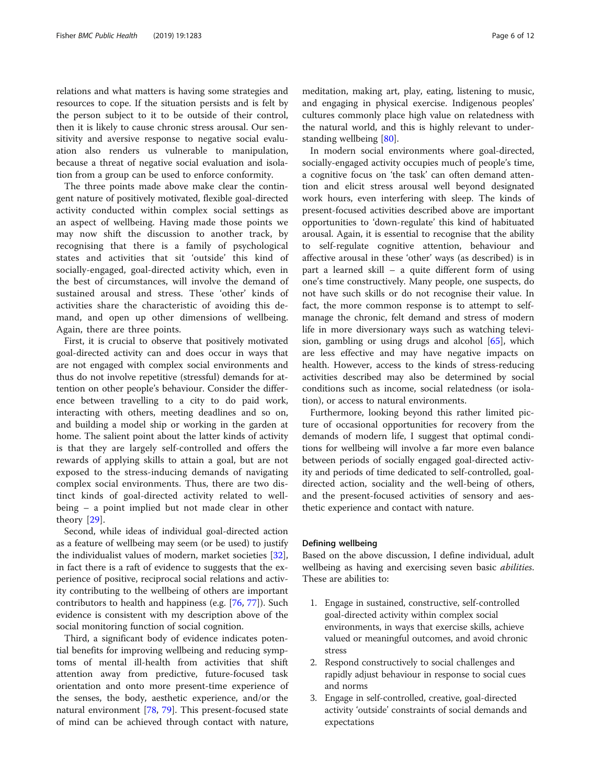relations and what matters is having some strategies and resources to cope. If the situation persists and is felt by the person subject to it to be outside of their control, then it is likely to cause chronic stress arousal. Our sensitivity and aversive response to negative social evaluation also renders us vulnerable to manipulation, because a threat of negative social evaluation and isolation from a group can be used to enforce conformity.

The three points made above make clear the contingent nature of positively motivated, flexible goal-directed activity conducted within complex social settings as an aspect of wellbeing. Having made those points we may now shift the discussion to another track, by recognising that there is a family of psychological states and activities that sit 'outside' this kind of socially-engaged, goal-directed activity which, even in the best of circumstances, will involve the demand of sustained arousal and stress. These 'other' kinds of activities share the characteristic of avoiding this demand, and open up other dimensions of wellbeing. Again, there are three points.

First, it is crucial to observe that positively motivated goal-directed activity can and does occur in ways that are not engaged with complex social environments and thus do not involve repetitive (stressful) demands for attention on other people's behaviour. Consider the difference between travelling to a city to do paid work, interacting with others, meeting deadlines and so on, and building a model ship or working in the garden at home. The salient point about the latter kinds of activity is that they are largely self-controlled and offers the rewards of applying skills to attain a goal, but are not exposed to the stress-inducing demands of navigating complex social environments. Thus, there are two distinct kinds of goal-directed activity related to wellbeing – a point implied but not made clear in other theory [\[29](#page-10-0)].

Second, while ideas of individual goal-directed action as a feature of wellbeing may seem (or be used) to justify the individualist values of modern, market societies [\[32](#page-10-0)], in fact there is a raft of evidence to suggests that the experience of positive, reciprocal social relations and activity contributing to the wellbeing of others are important contributors to health and happiness (e.g. [\[76,](#page-10-0) [77\]](#page-10-0)). Such evidence is consistent with my description above of the social monitoring function of social cognition.

Third, a significant body of evidence indicates potential benefits for improving wellbeing and reducing symptoms of mental ill-health from activities that shift attention away from predictive, future-focused task orientation and onto more present-time experience of the senses, the body, aesthetic experience, and/or the natural environment [[78,](#page-10-0) [79](#page-10-0)]. This present-focused state of mind can be achieved through contact with nature,

meditation, making art, play, eating, listening to music, and engaging in physical exercise. Indigenous peoples' cultures commonly place high value on relatedness with the natural world, and this is highly relevant to understanding wellbeing [[80\]](#page-11-0).

In modern social environments where goal-directed, socially-engaged activity occupies much of people's time, a cognitive focus on 'the task' can often demand attention and elicit stress arousal well beyond designated work hours, even interfering with sleep. The kinds of present-focused activities described above are important opportunities to 'down-regulate' this kind of habituated arousal. Again, it is essential to recognise that the ability to self-regulate cognitive attention, behaviour and affective arousal in these 'other' ways (as described) is in part a learned skill – a quite different form of using one's time constructively. Many people, one suspects, do not have such skills or do not recognise their value. In fact, the more common response is to attempt to selfmanage the chronic, felt demand and stress of modern life in more diversionary ways such as watching television, gambling or using drugs and alcohol [\[65](#page-10-0)], which are less effective and may have negative impacts on health. However, access to the kinds of stress-reducing activities described may also be determined by social conditions such as income, social relatedness (or isolation), or access to natural environments.

Furthermore, looking beyond this rather limited picture of occasional opportunities for recovery from the demands of modern life, I suggest that optimal conditions for wellbeing will involve a far more even balance between periods of socially engaged goal-directed activity and periods of time dedicated to self-controlled, goaldirected action, sociality and the well-being of others, and the present-focused activities of sensory and aesthetic experience and contact with nature.

# Defining wellbeing

Based on the above discussion, I define individual, adult wellbeing as having and exercising seven basic *abilities*. These are abilities to:

- 1. Engage in sustained, constructive, self-controlled goal-directed activity within complex social environments, in ways that exercise skills, achieve valued or meaningful outcomes, and avoid chronic stress
- 2. Respond constructively to social challenges and rapidly adjust behaviour in response to social cues and norms
- 3. Engage in self-controlled, creative, goal-directed activity 'outside' constraints of social demands and expectations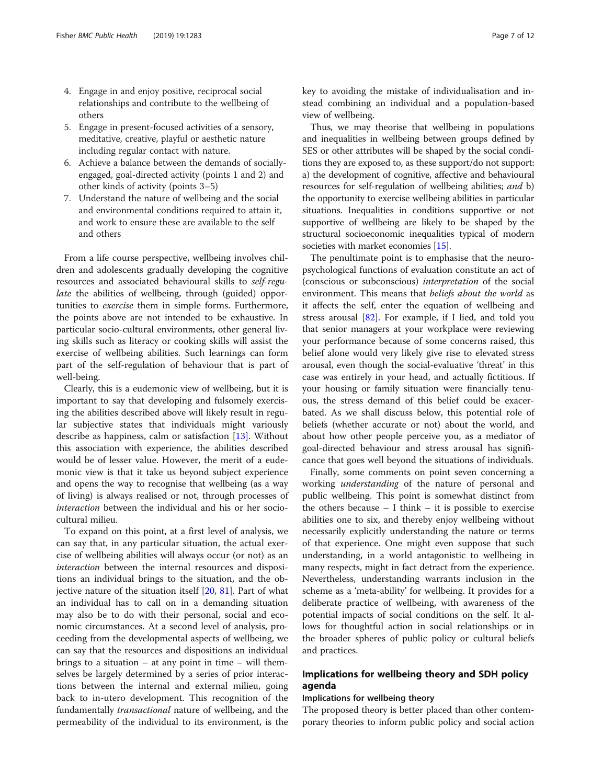- 4. Engage in and enjoy positive, reciprocal social relationships and contribute to the wellbeing of others
- 5. Engage in present-focused activities of a sensory, meditative, creative, playful or aesthetic nature including regular contact with nature.
- 6. Achieve a balance between the demands of sociallyengaged, goal-directed activity (points 1 and 2) and other kinds of activity (points 3–5)
- 7. Understand the nature of wellbeing and the social and environmental conditions required to attain it, and work to ensure these are available to the self and others

From a life course perspective, wellbeing involves children and adolescents gradually developing the cognitive resources and associated behavioural skills to self-regulate the abilities of wellbeing, through (guided) opportunities to exercise them in simple forms. Furthermore, the points above are not intended to be exhaustive. In particular socio-cultural environments, other general living skills such as literacy or cooking skills will assist the exercise of wellbeing abilities. Such learnings can form part of the self-regulation of behaviour that is part of well-being.

Clearly, this is a eudemonic view of wellbeing, but it is important to say that developing and fulsomely exercising the abilities described above will likely result in regular subjective states that individuals might variously describe as happiness, calm or satisfaction [[13](#page-9-0)]. Without this association with experience, the abilities described would be of lesser value. However, the merit of a eudemonic view is that it take us beyond subject experience and opens the way to recognise that wellbeing (as a way of living) is always realised or not, through processes of interaction between the individual and his or her sociocultural milieu.

To expand on this point, at a first level of analysis, we can say that, in any particular situation, the actual exercise of wellbeing abilities will always occur (or not) as an interaction between the internal resources and dispositions an individual brings to the situation, and the objective nature of the situation itself  $[20, 81]$  $[20, 81]$  $[20, 81]$  $[20, 81]$ . Part of what an individual has to call on in a demanding situation may also be to do with their personal, social and economic circumstances. At a second level of analysis, proceeding from the developmental aspects of wellbeing, we can say that the resources and dispositions an individual brings to a situation  $-$  at any point in time  $-$  will themselves be largely determined by a series of prior interactions between the internal and external milieu, going back to in-utero development. This recognition of the fundamentally transactional nature of wellbeing, and the permeability of the individual to its environment, is the key to avoiding the mistake of individualisation and instead combining an individual and a population-based view of wellbeing.

Thus, we may theorise that wellbeing in populations and inequalities in wellbeing between groups defined by SES or other attributes will be shaped by the social conditions they are exposed to, as these support/do not support: a) the development of cognitive, affective and behavioural resources for self-regulation of wellbeing abilities; and b) the opportunity to exercise wellbeing abilities in particular situations. Inequalities in conditions supportive or not supportive of wellbeing are likely to be shaped by the structural socioeconomic inequalities typical of modern societies with market economies [\[15\]](#page-9-0).

The penultimate point is to emphasise that the neuropsychological functions of evaluation constitute an act of (conscious or subconscious) interpretation of the social environment. This means that beliefs about the world as it affects the self, enter the equation of wellbeing and stress arousal [\[82\]](#page-11-0). For example, if I lied, and told you that senior managers at your workplace were reviewing your performance because of some concerns raised, this belief alone would very likely give rise to elevated stress arousal, even though the social-evaluative 'threat' in this case was entirely in your head, and actually fictitious. If your housing or family situation were financially tenuous, the stress demand of this belief could be exacerbated. As we shall discuss below, this potential role of beliefs (whether accurate or not) about the world, and about how other people perceive you, as a mediator of goal-directed behaviour and stress arousal has significance that goes well beyond the situations of individuals.

Finally, some comments on point seven concerning a working understanding of the nature of personal and public wellbeing. This point is somewhat distinct from the others because  $-1$  think  $-$  it is possible to exercise abilities one to six, and thereby enjoy wellbeing without necessarily explicitly understanding the nature or terms of that experience. One might even suppose that such understanding, in a world antagonistic to wellbeing in many respects, might in fact detract from the experience. Nevertheless, understanding warrants inclusion in the scheme as a 'meta-ability' for wellbeing. It provides for a deliberate practice of wellbeing, with awareness of the potential impacts of social conditions on the self. It allows for thoughtful action in social relationships or in the broader spheres of public policy or cultural beliefs and practices.

# Implications for wellbeing theory and SDH policy agenda

### Implications for wellbeing theory

The proposed theory is better placed than other contemporary theories to inform public policy and social action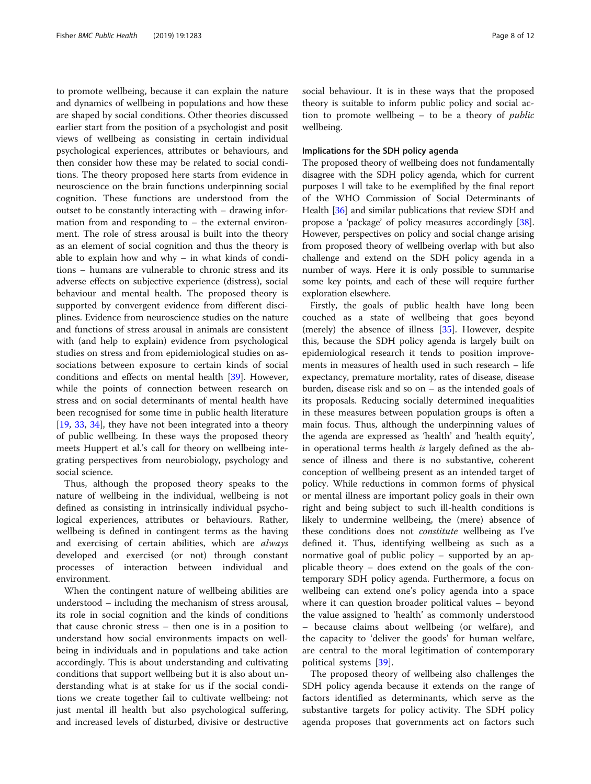to promote wellbeing, because it can explain the nature and dynamics of wellbeing in populations and how these are shaped by social conditions. Other theories discussed earlier start from the position of a psychologist and posit views of wellbeing as consisting in certain individual psychological experiences, attributes or behaviours, and then consider how these may be related to social conditions. The theory proposed here starts from evidence in neuroscience on the brain functions underpinning social cognition. These functions are understood from the outset to be constantly interacting with – drawing information from and responding to – the external environment. The role of stress arousal is built into the theory as an element of social cognition and thus the theory is able to explain how and why – in what kinds of conditions – humans are vulnerable to chronic stress and its adverse effects on subjective experience (distress), social behaviour and mental health. The proposed theory is supported by convergent evidence from different disciplines. Evidence from neuroscience studies on the nature and functions of stress arousal in animals are consistent with (and help to explain) evidence from psychological studies on stress and from epidemiological studies on associations between exposure to certain kinds of social conditions and effects on mental health [[39](#page-10-0)]. However, while the points of connection between research on stress and on social determinants of mental health have been recognised for some time in public health literature [[19,](#page-10-0) [33](#page-10-0), [34\]](#page-10-0), they have not been integrated into a theory of public wellbeing. In these ways the proposed theory meets Huppert et al.'s call for theory on wellbeing integrating perspectives from neurobiology, psychology and social science.

Thus, although the proposed theory speaks to the nature of wellbeing in the individual, wellbeing is not defined as consisting in intrinsically individual psychological experiences, attributes or behaviours. Rather, wellbeing is defined in contingent terms as the having and exercising of certain abilities, which are always developed and exercised (or not) through constant processes of interaction between individual and environment.

When the contingent nature of wellbeing abilities are understood – including the mechanism of stress arousal, its role in social cognition and the kinds of conditions that cause chronic stress – then one is in a position to understand how social environments impacts on wellbeing in individuals and in populations and take action accordingly. This is about understanding and cultivating conditions that support wellbeing but it is also about understanding what is at stake for us if the social conditions we create together fail to cultivate wellbeing: not just mental ill health but also psychological suffering, and increased levels of disturbed, divisive or destructive social behaviour. It is in these ways that the proposed theory is suitable to inform public policy and social action to promote wellbeing – to be a theory of public wellbeing.

# Implications for the SDH policy agenda

The proposed theory of wellbeing does not fundamentally disagree with the SDH policy agenda, which for current purposes I will take to be exemplified by the final report of the WHO Commission of Social Determinants of Health [[36](#page-10-0)] and similar publications that review SDH and propose a 'package' of policy measures accordingly [[38](#page-10-0)]. However, perspectives on policy and social change arising from proposed theory of wellbeing overlap with but also challenge and extend on the SDH policy agenda in a number of ways. Here it is only possible to summarise some key points, and each of these will require further exploration elsewhere.

Firstly, the goals of public health have long been couched as a state of wellbeing that goes beyond (merely) the absence of illness [[35](#page-10-0)]. However, despite this, because the SDH policy agenda is largely built on epidemiological research it tends to position improvements in measures of health used in such research – life expectancy, premature mortality, rates of disease, disease burden, disease risk and so on – as the intended goals of its proposals. Reducing socially determined inequalities in these measures between population groups is often a main focus. Thus, although the underpinning values of the agenda are expressed as 'health' and 'health equity', in operational terms health is largely defined as the absence of illness and there is no substantive, coherent conception of wellbeing present as an intended target of policy. While reductions in common forms of physical or mental illness are important policy goals in their own right and being subject to such ill-health conditions is likely to undermine wellbeing, the (mere) absence of these conditions does not constitute wellbeing as I've defined it. Thus, identifying wellbeing as such as a normative goal of public policy – supported by an applicable theory – does extend on the goals of the contemporary SDH policy agenda. Furthermore, a focus on wellbeing can extend one's policy agenda into a space where it can question broader political values – beyond the value assigned to 'health' as commonly understood – because claims about wellbeing (or welfare), and the capacity to 'deliver the goods' for human welfare, are central to the moral legitimation of contemporary political systems [\[39](#page-10-0)].

The proposed theory of wellbeing also challenges the SDH policy agenda because it extends on the range of factors identified as determinants, which serve as the substantive targets for policy activity. The SDH policy agenda proposes that governments act on factors such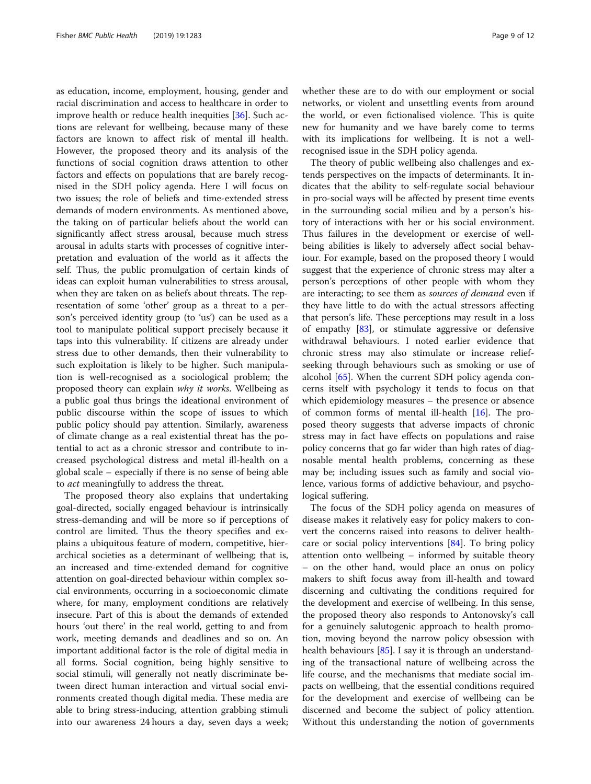as education, income, employment, housing, gender and racial discrimination and access to healthcare in order to improve health or reduce health inequities [\[36\]](#page-10-0). Such actions are relevant for wellbeing, because many of these factors are known to affect risk of mental ill health. However, the proposed theory and its analysis of the functions of social cognition draws attention to other factors and effects on populations that are barely recognised in the SDH policy agenda. Here I will focus on two issues; the role of beliefs and time-extended stress demands of modern environments. As mentioned above, the taking on of particular beliefs about the world can significantly affect stress arousal, because much stress arousal in adults starts with processes of cognitive interpretation and evaluation of the world as it affects the self. Thus, the public promulgation of certain kinds of ideas can exploit human vulnerabilities to stress arousal, when they are taken on as beliefs about threats. The representation of some 'other' group as a threat to a person's perceived identity group (to 'us') can be used as a tool to manipulate political support precisely because it taps into this vulnerability. If citizens are already under stress due to other demands, then their vulnerability to such exploitation is likely to be higher. Such manipulation is well-recognised as a sociological problem; the proposed theory can explain why it works. Wellbeing as a public goal thus brings the ideational environment of public discourse within the scope of issues to which public policy should pay attention. Similarly, awareness of climate change as a real existential threat has the potential to act as a chronic stressor and contribute to increased psychological distress and metal ill-health on a global scale – especially if there is no sense of being able to act meaningfully to address the threat.

The proposed theory also explains that undertaking goal-directed, socially engaged behaviour is intrinsically stress-demanding and will be more so if perceptions of control are limited. Thus the theory specifies and explains a ubiquitous feature of modern, competitive, hierarchical societies as a determinant of wellbeing; that is, an increased and time-extended demand for cognitive attention on goal-directed behaviour within complex social environments, occurring in a socioeconomic climate where, for many, employment conditions are relatively insecure. Part of this is about the demands of extended hours 'out there' in the real world, getting to and from work, meeting demands and deadlines and so on. An important additional factor is the role of digital media in all forms. Social cognition, being highly sensitive to social stimuli, will generally not neatly discriminate between direct human interaction and virtual social environments created though digital media. These media are able to bring stress-inducing, attention grabbing stimuli into our awareness 24 hours a day, seven days a week; whether these are to do with our employment or social networks, or violent and unsettling events from around the world, or even fictionalised violence. This is quite new for humanity and we have barely come to terms with its implications for wellbeing. It is not a wellrecognised issue in the SDH policy agenda.

The theory of public wellbeing also challenges and extends perspectives on the impacts of determinants. It indicates that the ability to self-regulate social behaviour in pro-social ways will be affected by present time events in the surrounding social milieu and by a person's history of interactions with her or his social environment. Thus failures in the development or exercise of wellbeing abilities is likely to adversely affect social behaviour. For example, based on the proposed theory I would suggest that the experience of chronic stress may alter a person's perceptions of other people with whom they are interacting; to see them as sources of demand even if they have little to do with the actual stressors affecting that person's life. These perceptions may result in a loss of empathy  $[83]$ , or stimulate aggressive or defensive withdrawal behaviours. I noted earlier evidence that chronic stress may also stimulate or increase reliefseeking through behaviours such as smoking or use of alcohol [[65\]](#page-10-0). When the current SDH policy agenda concerns itself with psychology it tends to focus on that which epidemiology measures – the presence or absence of common forms of mental ill-health [\[16](#page-9-0)]. The proposed theory suggests that adverse impacts of chronic stress may in fact have effects on populations and raise policy concerns that go far wider than high rates of diagnosable mental health problems, concerning as these may be; including issues such as family and social violence, various forms of addictive behaviour, and psychological suffering.

The focus of the SDH policy agenda on measures of disease makes it relatively easy for policy makers to convert the concerns raised into reasons to deliver healthcare or social policy interventions [\[84\]](#page-11-0). To bring policy attention onto wellbeing – informed by suitable theory – on the other hand, would place an onus on policy makers to shift focus away from ill-health and toward discerning and cultivating the conditions required for the development and exercise of wellbeing. In this sense, the proposed theory also responds to Antonovsky's call for a genuinely salutogenic approach to health promotion, moving beyond the narrow policy obsession with health behaviours [\[85\]](#page-11-0). I say it is through an understanding of the transactional nature of wellbeing across the life course, and the mechanisms that mediate social impacts on wellbeing, that the essential conditions required for the development and exercise of wellbeing can be discerned and become the subject of policy attention. Without this understanding the notion of governments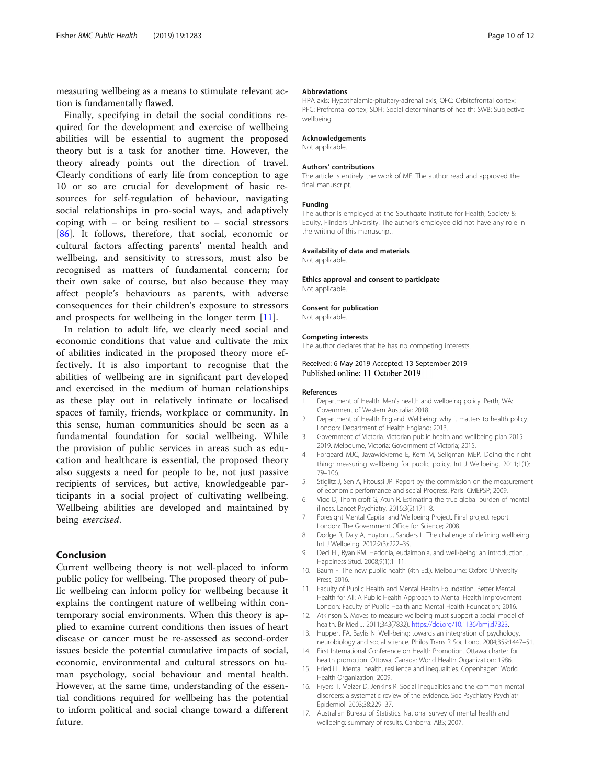<span id="page-9-0"></span>measuring wellbeing as a means to stimulate relevant action is fundamentally flawed.

Finally, specifying in detail the social conditions required for the development and exercise of wellbeing abilities will be essential to augment the proposed theory but is a task for another time. However, the theory already points out the direction of travel. Clearly conditions of early life from conception to age 10 or so are crucial for development of basic resources for self-regulation of behaviour, navigating social relationships in pro-social ways, and adaptively coping with – or being resilient to – social stressors [[86\]](#page-11-0). It follows, therefore, that social, economic or cultural factors affecting parents' mental health and wellbeing, and sensitivity to stressors, must also be recognised as matters of fundamental concern; for their own sake of course, but also because they may affect people's behaviours as parents, with adverse consequences for their children's exposure to stressors and prospects for wellbeing in the longer term [11].

In relation to adult life, we clearly need social and economic conditions that value and cultivate the mix of abilities indicated in the proposed theory more effectively. It is also important to recognise that the abilities of wellbeing are in significant part developed and exercised in the medium of human relationships as these play out in relatively intimate or localised spaces of family, friends, workplace or community. In this sense, human communities should be seen as a fundamental foundation for social wellbeing. While the provision of public services in areas such as education and healthcare is essential, the proposed theory also suggests a need for people to be, not just passive recipients of services, but active, knowledgeable participants in a social project of cultivating wellbeing. Wellbeing abilities are developed and maintained by being exercised.

# Conclusion

Current wellbeing theory is not well-placed to inform public policy for wellbeing. The proposed theory of public wellbeing can inform policy for wellbeing because it explains the contingent nature of wellbeing within contemporary social environments. When this theory is applied to examine current conditions then issues of heart disease or cancer must be re-assessed as second-order issues beside the potential cumulative impacts of social, economic, environmental and cultural stressors on human psychology, social behaviour and mental health. However, at the same time, understanding of the essential conditions required for wellbeing has the potential to inform political and social change toward a different future.

#### Abbreviations

HPA axis: Hypothalamic-pituitary-adrenal axis; OFC: Orbitofrontal cortex; PFC: Prefrontal cortex; SDH: Social determinants of health; SWB: Subjective wellbeing

#### Acknowledgements

Not applicable.

#### Authors' contributions

The article is entirely the work of MF. The author read and approved the final manuscript.

# Funding

The author is employed at the Southgate Institute for Health, Society & Equity, Flinders University. The author's employee did not have any role in the writing of this manuscript.

#### Availability of data and materials

Not applicable.

Ethics approval and consent to participate Not applicable.

#### Consent for publication

Not applicable.

#### Competing interests

The author declares that he has no competing interests.

#### Received: 6 May 2019 Accepted: 13 September 2019 Published online: 11 October 2019

#### References

- 1. Department of Health. Men's health and wellbeing policy. Perth, WA: Government of Western Australia; 2018.
- 2. Department of Health England. Wellbeing: why it matters to health policy. London: Department of Health England; 2013.
- 3. Government of Victoria. Victorian public health and wellbeing plan 2015– 2019. Melbourne, Victoria: Government of Victoria; 2015.
- 4. Forgeard MJC, Jayawickreme E, Kern M, Seligman MEP. Doing the right thing: measuring wellbeing for public policy. Int J Wellbeing. 2011;1(1): 79–106.
- 5. Stiglitz J, Sen A, Fitoussi JP. Report by the commission on the measurement of economic performance and social Progress. Paris: CMEPSP; 2009.
- 6. Vigo D, Thornicroft G, Atun R. Estimating the true global burden of mental illness. Lancet Psychiatry. 2016;3(2):171–8.
- 7. Foresight Mental Capital and Wellbeing Project. Final project report. London: The Government Office for Science; 2008.
- 8. Dodge R, Daly A, Huyton J, Sanders L. The challenge of defining wellbeing. Int J Wellbeing. 2012;2(3):222–35.
- 9. Deci EL, Ryan RM. Hedonia, eudaimonia, and well-being: an introduction. J Happiness Stud. 2008;9(1):1–11.
- 10. Baum F. The new public health (4th Ed.). Melbourne: Oxford University Press; 2016.
- 11. Faculty of Public Health and Mental Health Foundation. Better Mental Health for All: A Public Health Approach to Mental Health Improvement. London: Faculty of Public Health and Mental Health Foundation; 2016.
- 12. Atkinson S. Moves to measure wellbeing must support a social model of health. Br Med J. 2011;343(7832). <https://doi.org/10.1136/bmj.d7323>.
- 13. Huppert FA, Baylis N. Well-being: towards an integration of psychology, neurobiology and social science. Philos Trans R Soc Lond. 2004;359:1447–51.
- 14. First International Conference on Health Promotion. Ottawa charter for health promotion. Ottowa, Canada: World Health Organization; 1986.
- 15. Friedli L. Mental health, resilience and inequalities. Copenhagen: World Health Organization; 2009.
- 16. Fryers T, Melzer D, Jenkins R. Social inequalities and the common mental disorders: a systematic review of the evidence. Soc Psychiatry Psychiatr Epidemiol. 2003;38:229–37.
- 17. Australian Bureau of Statistics. National survey of mental health and wellbeing: summary of results. Canberra: ABS; 2007.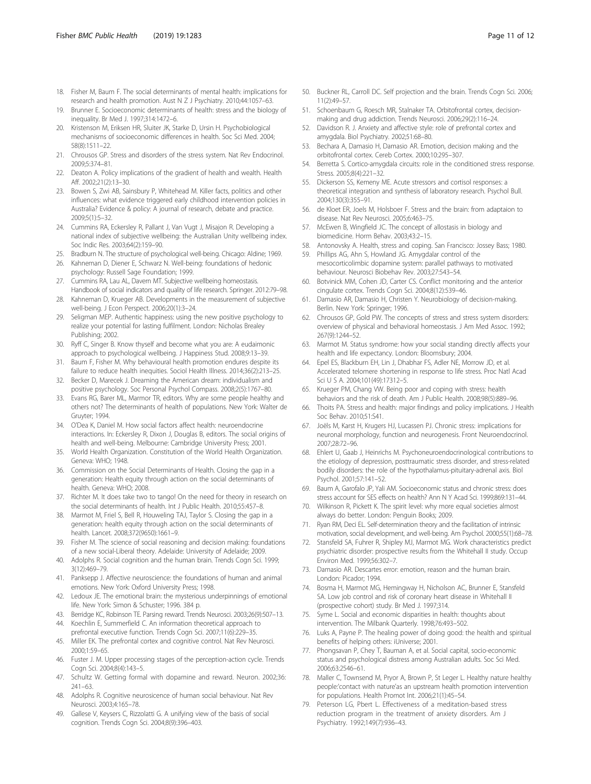- <span id="page-10-0"></span>18. Fisher M, Baum F. The social determinants of mental health: implications for research and health promotion. Aust N Z J Psychiatry. 2010;44:1057–63.
- 19. Brunner E. Socioeconomic determinants of health: stress and the biology of inequality. Br Med J. 1997;314:1472–6.
- 20. Kristenson M, Eriksen HR, Sluiter JK, Starke D, Ursin H. Psychobiological mechanisms of socioeconomic differences in health. Soc Sci Med. 2004; 58(8):1511–22.
- 21. Chrousos GP. Stress and disorders of the stress system. Nat Rev Endocrinol. 2009;5:374–81.
- 22. Deaton A. Policy implications of the gradient of health and wealth. Health Aff. 2002;21(2):13–30.
- 23. Bowen S, Zwi AB, Sainsbury P, Whitehead M. Killer facts, politics and other influences: what evidence triggered early childhood intervention policies in Australia? Evidence & policy: A journal of research, debate and practice. 2009;5(1):5–32.
- 24. Cummins RA, Eckersley R, Pallant J, Van Vugt J, Misajon R. Developing a national index of subjective wellbeing: the Australian Unity wellbeing index. Soc Indic Res. 2003;64(2):159–90.
- 25. Bradburn N. The structure of psychological well-being. Chicago: Aldine; 1969.
- 26. Kahneman D, Diener E, Schwarz N. Well-being: foundations of hedonic psychology: Russell Sage Foundation; 1999.
- 27. Cummins RA, Lau AL, Davern MT. Subjective wellbeing homeostasis. Handbook of social indicators and quality of life research. Springer. 2012:79–98.
- 28. Kahneman D, Krueger AB. Developments in the measurement of subjective well-being. J Econ Perspect. 2006;20(1):3–24.
- 29. Seligman MEP. Authentic happiness: using the new positive psychology to realize your potential for lasting fulfilment. London: Nicholas Brealey Publishing; 2002.
- 30. Ryff C, Singer B. Know thyself and become what you are: A eudaimonic approach to psychological wellbeing. J Happiness Stud. 2008;9:13–39.
- 31. Baum F, Fisher M. Why behavioural health promotion endures despite its failure to reduce health inequities. Sociol Health Illness. 2014;36(2):213–25.
- 32. Becker D, Marecek J. Dreaming the American dream: individualism and positive psychology. Soc Personal Psychol Compass. 2008;2(5):1767–80.
- 33. Evans RG, Barer ML, Marmor TR, editors. Why are some people healthy and others not? The determinants of health of populations. New York: Walter de Gruyter; 1994.
- 34. O'Dea K, Daniel M. How social factors affect health: neuroendocrine interactions. In: Eckersley R, Dixon J, Douglas B, editors. The social origins of health and well-being. Melbourne: Cambridge University Press; 2001.
- 35. World Health Organization. Constitution of the World Health Organization. Geneva: WHO; 1948.
- 36. Commission on the Social Determinants of Health. Closing the gap in a generation: Health equity through action on the social determinants of health. Geneva: WHO; 2008.
- 37. Richter M. It does take two to tango! On the need for theory in research on the social determinants of health. Int J Public Health. 2010;55:457–8.
- 38. Marmot M, Friel S, Bell R, Houweling TAJ, Taylor S. Closing the gap in a generation: health equity through action on the social determinants of health. Lancet. 2008;372(9650):1661–9.
- 39. Fisher M. The science of social reasoning and decision making: foundations of a new social-Liberal theory. Adelaide: University of Adelaide; 2009.
- 40. Adolphs R. Social cognition and the human brain. Trends Cogn Sci. 1999; 3(12):469–79.
- 41. Panksepp J. Affective neuroscience: the foundations of human and animal emotions. New York: Oxford University Press; 1998.
- 42. Ledoux JE. The emotional brain: the mysterious underpinnings of emotional life. New York: Simon & Schuster; 1996. 384 p.
- 43. Berridge KC, Robinson TE. Parsing reward. Trends Neurosci. 2003;26(9):507–13.
- 44. Koechlin E, Summerfield C. An information theoretical approach to prefrontal executive function. Trends Cogn Sci. 2007;11(6):229–35.
- 45. Miller EK. The prefrontal cortex and cognitive control. Nat Rev Neurosci. 2000;1:59–65.
- 46. Fuster J. M. Upper processing stages of the perception-action cycle. Trends Cogn Sci. 2004;8(4):143–5.
- 47. Schultz W. Getting formal with dopamine and reward. Neuron. 2002;36: 241–63.
- 48. Adolphs R. Cognitive neurosicence of human social behaviour. Nat Rev Neurosci. 2003;4:165–78.
- 49. Gallese V, Keysers C, Rizzolatti G. A unifying view of the basis of social cognition. Trends Cogn Sci. 2004;8(9):396–403.
- 50. Buckner RL, Carroll DC. Self projection and the brain. Trends Cogn Sci. 2006; 11(2):49–57.
- 51. Schoenbaum G, Roesch MR, Stalnaker TA. Orbitofrontal cortex, decisionmaking and drug addiction. Trends Neurosci. 2006;29(2):116–24.
- 52. Davidson R. J. Anxiety and affective style: role of prefrontal cortex and amygdala. Biol Psychiatry. 2002;51:68–80.
- Bechara A, Damasio H, Damasio AR. Emotion, decision making and the orbitofrontal cortex. Cereb Cortex. 2000;10:295–307.
- 54. Berretta S. Cortico-amygdala circuits: role in the conditioned stress response. Stress. 2005;8(4):221–32.
- 55. Dickerson SS, Kemeny ME. Acute stressors and cortisol responses: a theoretical integration and synthesis of laboratory research. Psychol Bull. 2004;130(3):355–91.
- 56. de Kloet ER, Joels M, Holsboer F. Stress and the brain: from adaptaion to disease. Nat Rev Neurosci. 2005;6:463–75.
- 57. McEwen B, Wingfield JC. The concept of allostasis in biology and biomedicine. Horm Behav. 2003;43:2–15.
- 58. Antonovsky A. Health, stress and coping. San Francisco: Jossey Bass; 1980.
- 59. Phillips AG, Ahn S, Howland JG. Amygdalar control of the mesocorticolimbic dopamine system: parallel pathways to motivated behaviour. Neurosci Biobehav Rev. 2003;27:543–54.
- 60. Botvinick MM, Cohen JD, Carter CS. Conflict monitoring and the anterior cingulate cortex. Trends Cogn Sci. 2004;8(12):539–46.
- 61. Damasio AR, Damasio H, Christen Y. Neurobiology of decision-making. Berlin. New York: Springer; 1996.
- 62. Chrousos GP, Gold PW. The concepts of stress and stress system disorders: overview of physical and behavioral homeostasis. J Am Med Assoc. 1992; 267(9):1244–52.
- Marmot M. Status syndrome: how your social standing directly affects your health and life expectancy. London: Bloomsbury; 2004.
- 64. Epel ES, Blackburn EH, Lin J, Dhabhar FS, Adler NE, Morrow JD, et al. Accelerated telomere shortening in response to life stress. Proc Natl Acad Sci U S A. 2004;101(49):17312–5.
- 65. Krueger PM, Chang VW. Being poor and coping with stress: health behaviors and the risk of death. Am J Public Health. 2008;98(5):889–96.
- 66. Thoits PA. Stress and health: major findings and policy implications. J Health Soc Behav. 2010;51:S41.
- 67. Joëls M, Karst H, Krugers HJ, Lucassen PJ. Chronic stress: implications for neuronal morphology, function and neurogenesis. Front Neuroendocrinol. 2007;28:72–96.
- 68. Ehlert U, Gaab J, Heinrichs M. Psychoneuroendocrinological contributions to the etiology of depression, posttraumatic stress disorder, and stress-related bodily disorders: the role of the hypothalamus-pituitary-adrenal axis. Biol Psychol. 2001;57:141–52.
- 69. Baum A, Garofalo JP, Yali AM. Socioeconomic status and chronic stress: does stress account for SES effects on health? Ann N Y Acad Sci. 1999;869:131–44.
- Wilkinson R, Pickett K. The spirit level: why more equal societies almost always do better. London: Penguin Books; 2009.
- 71. Ryan RM, Deci EL. Self-determination theory and the facilitation of intrinsic motivation, social development, and well-being. Am Psychol. 2000;55(1):68–78.
- 72. Stansfeld SA, Fuhrer R, Shipley MJ, Marmot MG. Work characteristics predict psychiatric disorder: prospective results from the Whitehall II study. Occup Environ Med. 1999;56:302–7.
- 73. Damasio AR. Descartes error: emotion, reason and the human brain. London: Picador; 1994.
- 74. Bosma H, Marmot MG, Hemingway H, Nicholson AC, Brunner E, Stansfeld SA. Low job control and risk of coronary heart disease in Whitehall II (prospective cohort) study. Br Med J. 1997;314.
- 75. Syme L. Social and economic disparities in health: thoughts about intervention. The Milbank Quarterly. 1998;76:493–502.
- 76. Luks A, Payne P. The healing power of doing good: the health and spiritual benefits of helping others: iUniverse; 2001.
- 77. Phongsavan P, Chey T, Bauman A, et al. Social capital, socio-economic status and psychological distress among Australian adults. Soc Sci Med. 2006;63:2546–61.
- 78. Maller C, Townsend M, Pryor A, Brown P, St Leger L. Healthy nature healthy people:'contact with nature'as an upstream health promotion intervention for populations. Health Promot Int. 2006;21(1):45–54.
- 79. Peterson LG, Pbert L. Effectiveness of a meditation-based stress reduction program in the treatment of anxiety disorders. Am J Psychiatry. 1992;149(7):936–43.